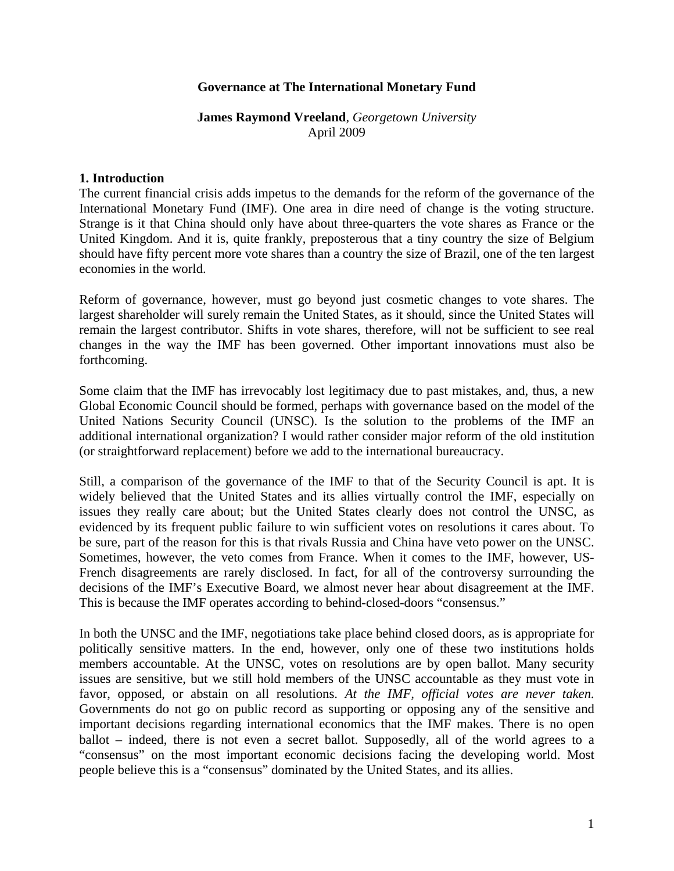### **Governance at The International Monetary Fund**

### **James Raymond Vreeland**, *Georgetown University* April 2009

#### **1. Introduction**

The current financial crisis adds impetus to the demands for the reform of the governance of the International Monetary Fund (IMF). One area in dire need of change is the voting structure. Strange is it that China should only have about three-quarters the vote shares as France or the United Kingdom. And it is, quite frankly, preposterous that a tiny country the size of Belgium should have fifty percent more vote shares than a country the size of Brazil, one of the ten largest economies in the world.

Reform of governance, however, must go beyond just cosmetic changes to vote shares. The largest shareholder will surely remain the United States, as it should, since the United States will remain the largest contributor. Shifts in vote shares, therefore, will not be sufficient to see real changes in the way the IMF has been governed. Other important innovations must also be forthcoming.

Some claim that the IMF has irrevocably lost legitimacy due to past mistakes, and, thus, a new Global Economic Council should be formed, perhaps with governance based on the model of the United Nations Security Council (UNSC). Is the solution to the problems of the IMF an additional international organization? I would rather consider major reform of the old institution (or straightforward replacement) before we add to the international bureaucracy.

Still, a comparison of the governance of the IMF to that of the Security Council is apt. It is widely believed that the United States and its allies virtually control the IMF, especially on issues they really care about; but the United States clearly does not control the UNSC, as evidenced by its frequent public failure to win sufficient votes on resolutions it cares about. To be sure, part of the reason for this is that rivals Russia and China have veto power on the UNSC. Sometimes, however, the veto comes from France. When it comes to the IMF, however, US-French disagreements are rarely disclosed. In fact, for all of the controversy surrounding the decisions of the IMF's Executive Board, we almost never hear about disagreement at the IMF. This is because the IMF operates according to behind-closed-doors "consensus."

In both the UNSC and the IMF, negotiations take place behind closed doors, as is appropriate for politically sensitive matters. In the end, however, only one of these two institutions holds members accountable. At the UNSC, votes on resolutions are by open ballot. Many security issues are sensitive, but we still hold members of the UNSC accountable as they must vote in favor, opposed, or abstain on all resolutions. *At the IMF, official votes are never taken*. Governments do not go on public record as supporting or opposing any of the sensitive and important decisions regarding international economics that the IMF makes. There is no open ballot – indeed, there is not even a secret ballot. Supposedly, all of the world agrees to a "consensus" on the most important economic decisions facing the developing world. Most people believe this is a "consensus" dominated by the United States, and its allies.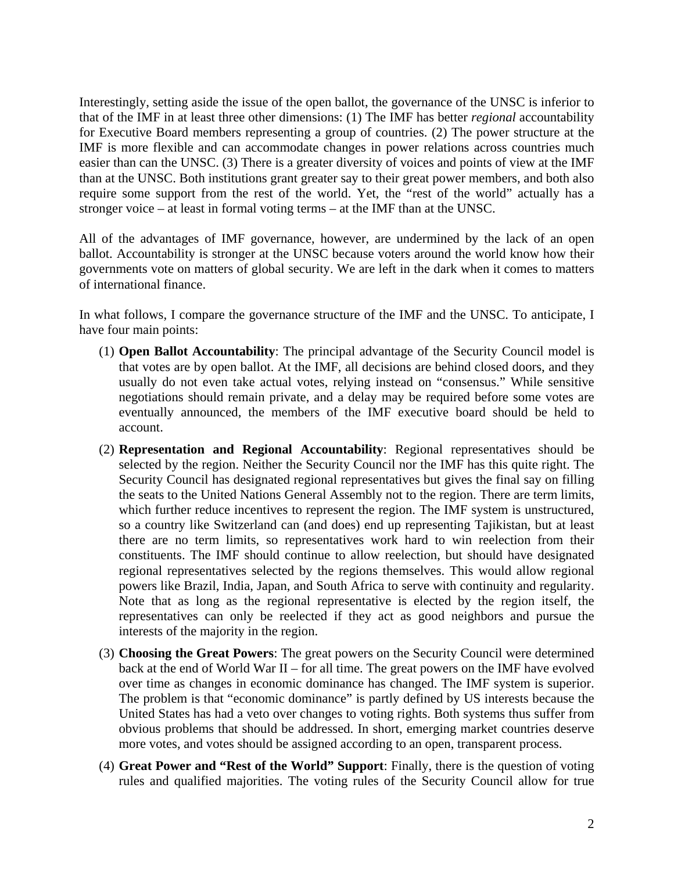Interestingly, setting aside the issue of the open ballot, the governance of the UNSC is inferior to that of the IMF in at least three other dimensions: (1) The IMF has better *regional* accountability for Executive Board members representing a group of countries. (2) The power structure at the IMF is more flexible and can accommodate changes in power relations across countries much easier than can the UNSC. (3) There is a greater diversity of voices and points of view at the IMF than at the UNSC. Both institutions grant greater say to their great power members, and both also require some support from the rest of the world. Yet, the "rest of the world" actually has a stronger voice – at least in formal voting terms – at the IMF than at the UNSC.

All of the advantages of IMF governance, however, are undermined by the lack of an open ballot. Accountability is stronger at the UNSC because voters around the world know how their governments vote on matters of global security. We are left in the dark when it comes to matters of international finance.

In what follows, I compare the governance structure of the IMF and the UNSC. To anticipate, I have four main points:

- (1) **Open Ballot Accountability**: The principal advantage of the Security Council model is that votes are by open ballot. At the IMF, all decisions are behind closed doors, and they usually do not even take actual votes, relying instead on "consensus." While sensitive negotiations should remain private, and a delay may be required before some votes are eventually announced, the members of the IMF executive board should be held to account.
- (2) **Representation and Regional Accountability**: Regional representatives should be selected by the region. Neither the Security Council nor the IMF has this quite right. The Security Council has designated regional representatives but gives the final say on filling the seats to the United Nations General Assembly not to the region. There are term limits, which further reduce incentives to represent the region. The IMF system is unstructured, so a country like Switzerland can (and does) end up representing Tajikistan, but at least there are no term limits, so representatives work hard to win reelection from their constituents. The IMF should continue to allow reelection, but should have designated regional representatives selected by the regions themselves. This would allow regional powers like Brazil, India, Japan, and South Africa to serve with continuity and regularity. Note that as long as the regional representative is elected by the region itself, the representatives can only be reelected if they act as good neighbors and pursue the interests of the majority in the region.
- (3) **Choosing the Great Powers**: The great powers on the Security Council were determined back at the end of World War II – for all time. The great powers on the IMF have evolved over time as changes in economic dominance has changed. The IMF system is superior. The problem is that "economic dominance" is partly defined by US interests because the United States has had a veto over changes to voting rights. Both systems thus suffer from obvious problems that should be addressed. In short, emerging market countries deserve more votes, and votes should be assigned according to an open, transparent process.
- (4) **Great Power and "Rest of the World" Support**: Finally, there is the question of voting rules and qualified majorities. The voting rules of the Security Council allow for true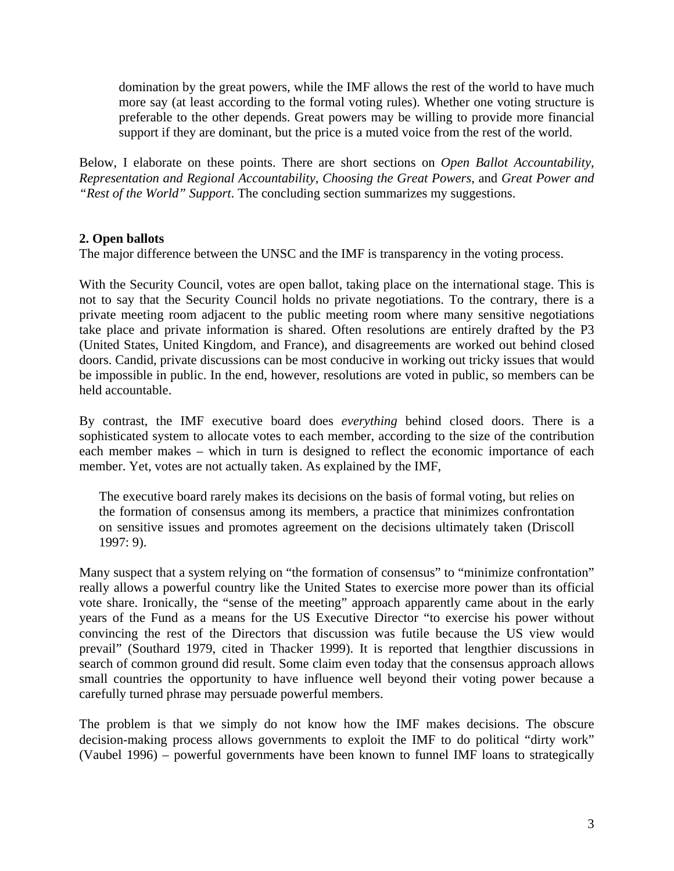domination by the great powers, while the IMF allows the rest of the world to have much more say (at least according to the formal voting rules). Whether one voting structure is preferable to the other depends. Great powers may be willing to provide more financial support if they are dominant, but the price is a muted voice from the rest of the world.

Below, I elaborate on these points. There are short sections on *Open Ballot Accountability*, *Representation and Regional Accountability*, *Choosing the Great Powers*, and *Great Power and "Rest of the World" Support*. The concluding section summarizes my suggestions.

# **2. Open ballots**

The major difference between the UNSC and the IMF is transparency in the voting process.

With the Security Council, votes are open ballot, taking place on the international stage. This is not to say that the Security Council holds no private negotiations. To the contrary, there is a private meeting room adjacent to the public meeting room where many sensitive negotiations take place and private information is shared. Often resolutions are entirely drafted by the P3 (United States, United Kingdom, and France), and disagreements are worked out behind closed doors. Candid, private discussions can be most conducive in working out tricky issues that would be impossible in public. In the end, however, resolutions are voted in public, so members can be held accountable.

By contrast, the IMF executive board does *everything* behind closed doors. There is a sophisticated system to allocate votes to each member, according to the size of the contribution each member makes – which in turn is designed to reflect the economic importance of each member. Yet, votes are not actually taken. As explained by the IMF,

The executive board rarely makes its decisions on the basis of formal voting, but relies on the formation of consensus among its members, a practice that minimizes confrontation on sensitive issues and promotes agreement on the decisions ultimately taken (Driscoll 1997: 9).

Many suspect that a system relying on "the formation of consensus" to "minimize confrontation" really allows a powerful country like the United States to exercise more power than its official vote share. Ironically, the "sense of the meeting" approach apparently came about in the early years of the Fund as a means for the US Executive Director "to exercise his power without convincing the rest of the Directors that discussion was futile because the US view would prevail" (Southard 1979, cited in Thacker 1999). It is reported that lengthier discussions in search of common ground did result. Some claim even today that the consensus approach allows small countries the opportunity to have influence well beyond their voting power because a carefully turned phrase may persuade powerful members.

The problem is that we simply do not know how the IMF makes decisions. The obscure decision-making process allows governments to exploit the IMF to do political "dirty work" (Vaubel 1996) – powerful governments have been known to funnel IMF loans to strategically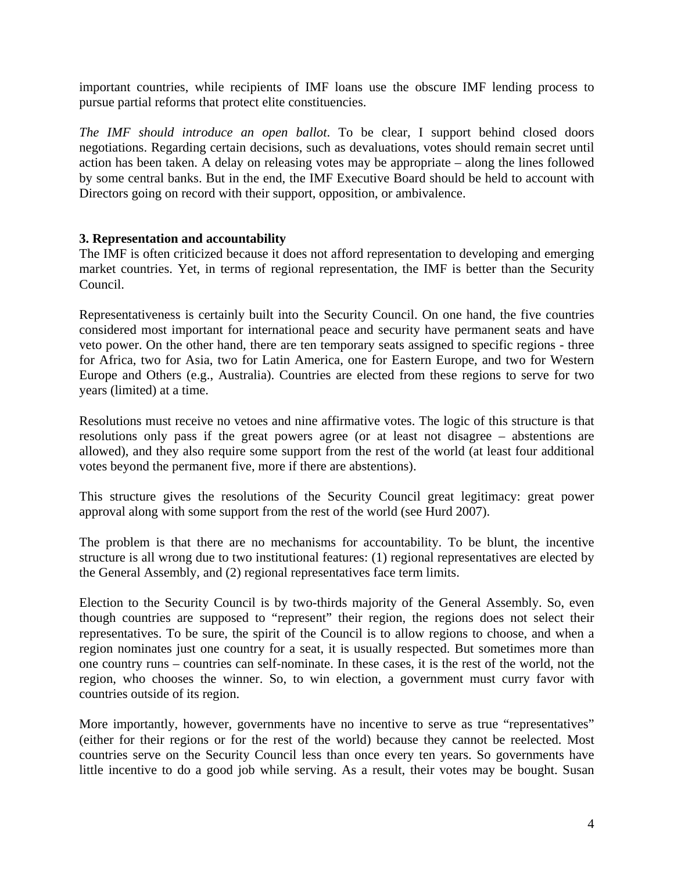important countries, while recipients of IMF loans use the obscure IMF lending process to pursue partial reforms that protect elite constituencies.

*The IMF should introduce an open ballot*. To be clear, I support behind closed doors negotiations. Regarding certain decisions, such as devaluations, votes should remain secret until action has been taken. A delay on releasing votes may be appropriate – along the lines followed by some central banks. But in the end, the IMF Executive Board should be held to account with Directors going on record with their support, opposition, or ambivalence.

### **3. Representation and accountability**

The IMF is often criticized because it does not afford representation to developing and emerging market countries. Yet, in terms of regional representation, the IMF is better than the Security Council.

Representativeness is certainly built into the Security Council. On one hand, the five countries considered most important for international peace and security have permanent seats and have veto power. On the other hand, there are ten temporary seats assigned to specific regions - three for Africa, two for Asia, two for Latin America, one for Eastern Europe, and two for Western Europe and Others (e.g., Australia). Countries are elected from these regions to serve for two years (limited) at a time.

Resolutions must receive no vetoes and nine affirmative votes. The logic of this structure is that resolutions only pass if the great powers agree (or at least not disagree – abstentions are allowed), and they also require some support from the rest of the world (at least four additional votes beyond the permanent five, more if there are abstentions).

This structure gives the resolutions of the Security Council great legitimacy: great power approval along with some support from the rest of the world (see Hurd 2007).

The problem is that there are no mechanisms for accountability. To be blunt, the incentive structure is all wrong due to two institutional features: (1) regional representatives are elected by the General Assembly, and (2) regional representatives face term limits.

Election to the Security Council is by two-thirds majority of the General Assembly. So, even though countries are supposed to "represent" their region, the regions does not select their representatives. To be sure, the spirit of the Council is to allow regions to choose, and when a region nominates just one country for a seat, it is usually respected. But sometimes more than one country runs – countries can self-nominate. In these cases, it is the rest of the world, not the region, who chooses the winner. So, to win election, a government must curry favor with countries outside of its region.

More importantly, however, governments have no incentive to serve as true "representatives" (either for their regions or for the rest of the world) because they cannot be reelected. Most countries serve on the Security Council less than once every ten years. So governments have little incentive to do a good job while serving. As a result, their votes may be bought. Susan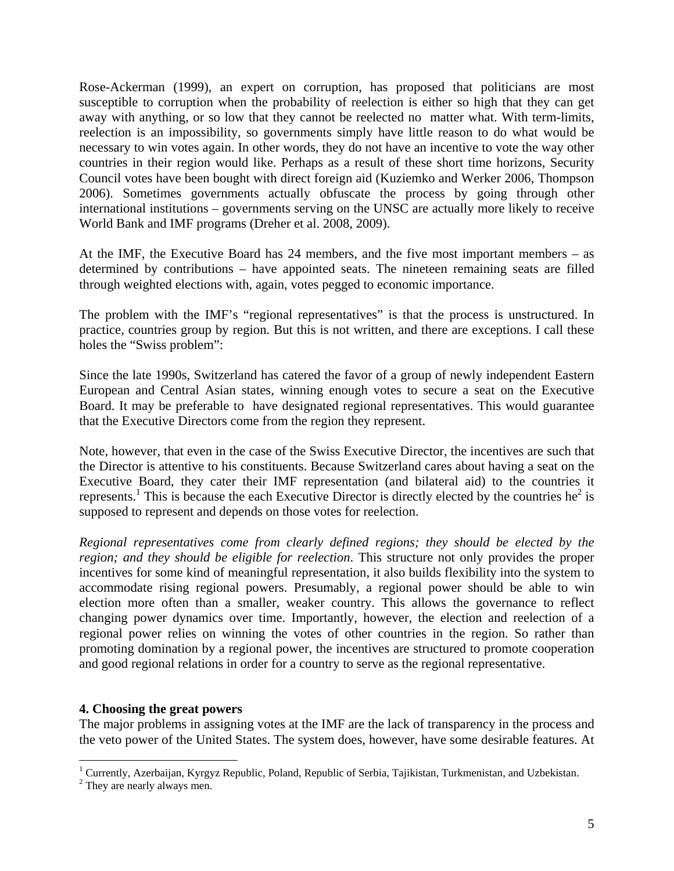Rose-Ackerman (1999), an expert on corruption, has proposed that politicians are most susceptible to corruption when the probability of reelection is either so high that they can get away with anything, or so low that they cannot be reelected no matter what. With term-limits, reelection is an impossibility, so governments simply have little reason to do what would be necessary to win votes again. In other words, they do not have an incentive to vote the way other countries in their region would like. Perhaps as a result of these short time horizons, Security Council votes have been bought with direct foreign aid (Kuziemko and Werker 2006, Thompson 2006). Sometimes governments actually obfuscate the process by going through other international institutions – governments serving on the UNSC are actually more likely to receive World Bank and IMF programs (Dreher et al. 2008, 2009).

At the IMF, the Executive Board has 24 members, and the five most important members – as determined by contributions – have appointed seats. The nineteen remaining seats are filled through weighted elections with, again, votes pegged to economic importance.

The problem with the IMF's "regional representatives" is that the process is unstructured. In practice, countries group by region. But this is not written, and there are exceptions. I call these holes the "Swiss problem":

Since the late 1990s, Switzerland has catered the favor of a group of newly independent Eastern European and Central Asian states, winning enough votes to secure a seat on the Executive Board. It may be preferable to have designated regional representatives. This would guarantee that the Executive Directors come from the region they represent.

Note, however, that even in the case of the Swiss Executive Director, the incentives are such that the Director is attentive to his constituents. Because Switzerland cares about having a seat on the Executive Board, they cater their IMF representation (and bilateral aid) to the countries it represents.<sup>1</sup> This is because the each Executive Director is directly elected by the countries he<sup>2</sup> is supposed to represent and depends on those votes for reelection.

*Regional representatives come from clearly defined regions; they should be elected by the region; and they should be eligible for reelection*. This structure not only provides the proper incentives for some kind of meaningful representation, it also builds flexibility into the system to accommodate rising regional powers. Presumably, a regional power should be able to win election more often than a smaller, weaker country. This allows the governance to reflect changing power dynamics over time. Importantly, however, the election and reelection of a regional power relies on winning the votes of other countries in the region. So rather than promoting domination by a regional power, the incentives are structured to promote cooperation and good regional relations in order for a country to serve as the regional representative.

### **4. Choosing the great powers**

The major problems in assigning votes at the IMF are the lack of transparency in the process and the veto power of the United States. The system does, however, have some desirable features. At

<sup>&</sup>lt;sup>1</sup> Currently, Azerbaijan, Kyrgyz Republic, Poland, Republic of Serbia, Tajikistan, Turkmenistan, and Uzbekistan.<br><sup>2</sup> Thou era noarly always man

<sup>&</sup>lt;sup>2</sup> They are nearly always men.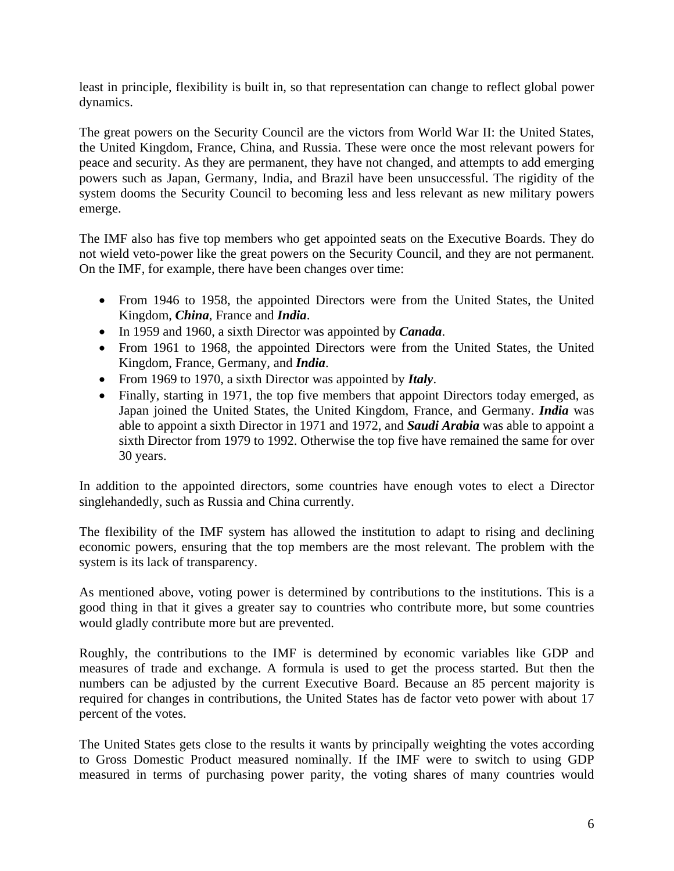least in principle, flexibility is built in, so that representation can change to reflect global power dynamics.

The great powers on the Security Council are the victors from World War II: the United States, the United Kingdom, France, China, and Russia. These were once the most relevant powers for peace and security. As they are permanent, they have not changed, and attempts to add emerging powers such as Japan, Germany, India, and Brazil have been unsuccessful. The rigidity of the system dooms the Security Council to becoming less and less relevant as new military powers emerge.

The IMF also has five top members who get appointed seats on the Executive Boards. They do not wield veto-power like the great powers on the Security Council, and they are not permanent. On the IMF, for example, there have been changes over time:

- From 1946 to 1958, the appointed Directors were from the United States, the United Kingdom, *China*, France and *India*.
- In 1959 and 1960, a sixth Director was appointed by *Canada*.
- From 1961 to 1968, the appointed Directors were from the United States, the United Kingdom, France, Germany, and *India*.
- From 1969 to 1970, a sixth Director was appointed by *Italy*.
- Finally, starting in 1971, the top five members that appoint Directors today emerged, as Japan joined the United States, the United Kingdom, France, and Germany. *India* was able to appoint a sixth Director in 1971 and 1972, and *Saudi Arabia* was able to appoint a sixth Director from 1979 to 1992. Otherwise the top five have remained the same for over 30 years.

In addition to the appointed directors, some countries have enough votes to elect a Director singlehandedly, such as Russia and China currently.

The flexibility of the IMF system has allowed the institution to adapt to rising and declining economic powers, ensuring that the top members are the most relevant. The problem with the system is its lack of transparency.

As mentioned above, voting power is determined by contributions to the institutions. This is a good thing in that it gives a greater say to countries who contribute more, but some countries would gladly contribute more but are prevented.

Roughly, the contributions to the IMF is determined by economic variables like GDP and measures of trade and exchange. A formula is used to get the process started. But then the numbers can be adjusted by the current Executive Board. Because an 85 percent majority is required for changes in contributions, the United States has de factor veto power with about 17 percent of the votes.

The United States gets close to the results it wants by principally weighting the votes according to Gross Domestic Product measured nominally. If the IMF were to switch to using GDP measured in terms of purchasing power parity, the voting shares of many countries would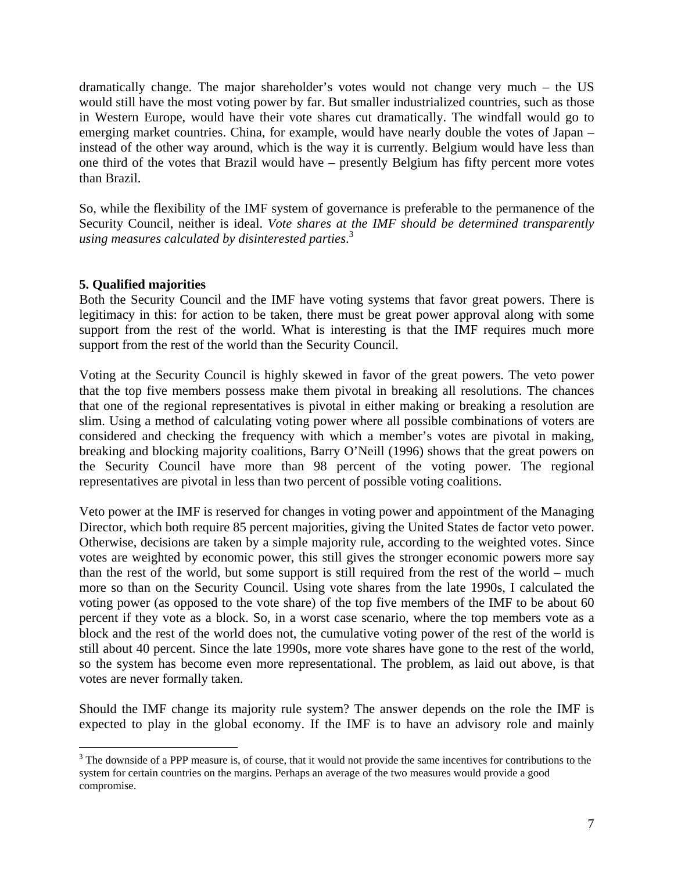dramatically change. The major shareholder's votes would not change very much – the US would still have the most voting power by far. But smaller industrialized countries, such as those in Western Europe, would have their vote shares cut dramatically. The windfall would go to emerging market countries. China, for example, would have nearly double the votes of Japan – instead of the other way around, which is the way it is currently. Belgium would have less than one third of the votes that Brazil would have – presently Belgium has fifty percent more votes than Brazil.

So, while the flexibility of the IMF system of governance is preferable to the permanence of the Security Council, neither is ideal. *Vote shares at the IMF should be determined transparently using measures calculated by disinterested parties*. 3

## **5. Qualified majorities**

 $\overline{a}$ 

Both the Security Council and the IMF have voting systems that favor great powers. There is legitimacy in this: for action to be taken, there must be great power approval along with some support from the rest of the world. What is interesting is that the IMF requires much more support from the rest of the world than the Security Council.

Voting at the Security Council is highly skewed in favor of the great powers. The veto power that the top five members possess make them pivotal in breaking all resolutions. The chances that one of the regional representatives is pivotal in either making or breaking a resolution are slim. Using a method of calculating voting power where all possible combinations of voters are considered and checking the frequency with which a member's votes are pivotal in making, breaking and blocking majority coalitions, Barry O'Neill (1996) shows that the great powers on the Security Council have more than 98 percent of the voting power. The regional representatives are pivotal in less than two percent of possible voting coalitions.

Veto power at the IMF is reserved for changes in voting power and appointment of the Managing Director, which both require 85 percent majorities, giving the United States de factor veto power. Otherwise, decisions are taken by a simple majority rule, according to the weighted votes. Since votes are weighted by economic power, this still gives the stronger economic powers more say than the rest of the world, but some support is still required from the rest of the world – much more so than on the Security Council. Using vote shares from the late 1990s, I calculated the voting power (as opposed to the vote share) of the top five members of the IMF to be about 60 percent if they vote as a block. So, in a worst case scenario, where the top members vote as a block and the rest of the world does not, the cumulative voting power of the rest of the world is still about 40 percent. Since the late 1990s, more vote shares have gone to the rest of the world, so the system has become even more representational. The problem, as laid out above, is that votes are never formally taken.

Should the IMF change its majority rule system? The answer depends on the role the IMF is expected to play in the global economy. If the IMF is to have an advisory role and mainly

 $3$  The downside of a PPP measure is, of course, that it would not provide the same incentives for contributions to the system for certain countries on the margins. Perhaps an average of the two measures would provide a good compromise.